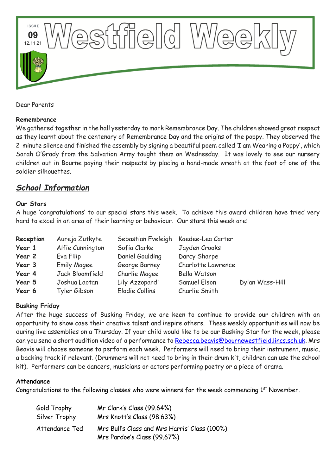

Dear Parents

#### **Remembrance**

We gathered together in the hall yesterday to mark Remembrance Day. The children showed great respect as they learnt about the centenary of Remembrance Day and the origins of the poppy. They observed the 2-minute silence and finished the assembly by signing a beautiful poem called 'I am Wearing a Poppy', which Sarah O'Grady from the Salvation Army taught them on Wednesday. It was lovely to see our nursery children out in Bourne paying their respects by placing a hand-made wreath at the foot of one of the soldier silhouettes.

# *School Information*

#### **Our Stars**

A huge 'congratulations' to our special stars this week. To achieve this award children have tried very hard to excel in an area of their learning or behaviour. Our stars this week are:

| Reception | Aureja Zutkyte     | Sebastian Eveleigh | Kaedee-Lea Carter  |                 |
|-----------|--------------------|--------------------|--------------------|-----------------|
| Year 1    | Alfie Cunnington   | Sofia Clarke       | Jayden Crooks      |                 |
| Year 2    | Eva Filip          | Daniel Goulding    | Darcy Sharpe       |                 |
| Year 3    | <b>Emily Magee</b> | George Barney      | Charlotte Lawrence |                 |
| Year 4    | Jack Bloomfield    | Charlie Magee      | Bella Watson       |                 |
| Year 5    | Joshua Laotan      | Lily Azzopardi     | Samuel Elson       | Dylan Wass-Hill |
| Year 6    | Tyler Gibson       | Elodie Collins     | Charlie Smith      |                 |

#### **Busking Friday**

After the huge success of Busking Friday, we are keen to continue to provide our children with an opportunity to show case their creative talent and inspire others. These weekly opportunities will now be during live assemblies on a Thursday. If your child would like to be our Busking Star for the week, please can you send a short audition video of a performance to [Rebecca.beavis@bournewestfield.lincs.sch.uk.](mailto:Rebecca.beavis@bournewestfield.lincs.sch.uk) Mrs Beavis will choose someone to perform each week. Performers will need to bring their instrument, music, a backing track if relevant. (Drummers will not need to bring in their drum kit, children can use the school kit). Performers can be dancers, musicians or actors performing poetry or a piece of drama.

#### **Attendance**

Congratulations to the following classes who were winners for the week commencing  $1<sup>st</sup>$  November.

| Gold Trophy    | Mr Clark's Class (99.64%)                                                    |
|----------------|------------------------------------------------------------------------------|
| Silver Trophy  | Mrs Knott's Class (98.63%)                                                   |
| Attendance Ted | Mrs Bull's Class and Mrs Harris' Class (100%)<br>Mrs Pardoe's Class (99.67%) |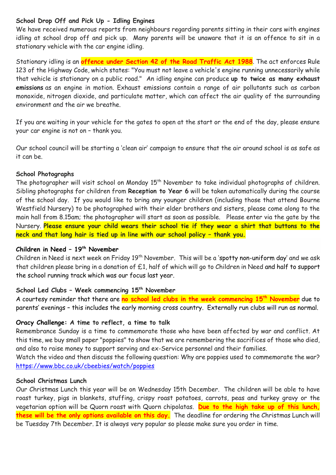## **School Drop Off and Pick Up - Idling Engines**

We have received numerous reports from neighbours regarding parents sitting in their cars with engines idling at school drop off and pick up. Many parents will be unaware that it is an offence to sit in a stationary vehicle with the car engine idling.

Stationary idling is an **offence under Section 42 of the Road Traffic Act 1988**. The act enforces Rule 123 of the Highway Code, which states: "You must not leave a vehicle's engine running unnecessarily while that vehicle is stationary on a public road." An idling engine can produce **up to twice as many exhaust emissions** as an engine in motion. Exhaust emissions contain a range of air pollutants such as carbon monoxide, nitrogen dioxide, and particulate matter, which can affect the air quality of the surrounding environment and the air we breathe.

If you are waiting in your vehicle for the gates to open at the start or the end of the day, please ensure your car engine is not on – thank you.

Our school council will be starting a 'clean air' campaign to ensure that the air around school is as safe as it can be.

#### **School Photographs**

The photographer will visit school on Monday 15<sup>th</sup> November to take individual photographs of children. Sibling photographs for children from **Reception to Year 6** will be taken automatically during the course of the school day. If you would like to bring any younger children (including those that attend Bourne Westfield Nursery) to be photographed with their elder brothers and sisters, please come along to the main hall from 8.15am; the photographer will start as soon as possible. Please enter via the gate by the Nursery. **Please ensure your child wears their school tie if they wear a shirt that buttons to the neck and that long hair is tied up in line with our school policy – thank you.** 

#### **Children in Need – 19th November**

Children in Need is next week on Friday 19<sup>th</sup> November. This will be a 'spotty non-uniform day' and we ask that children please bring in a donation of £1, half of which will go to Children in Need and half to support the school running track which was our focus last year.

#### **School Led Clubs – Week commencing 15th November**

A courtesy reminder that there are **no school led clubs in the week commencing 15th November** due to parents' evenings – this includes the early morning cross country. Externally run clubs will run as normal.

#### **Oracy Challenge: A time to reflect, a time to talk**

Remembrance Sunday is a time to commemorate those who have been affected by war and conflict. At this time, we buy small paper "poppies" to show that we are remembering the sacrifices of those who died, and also to raise money to support serving and ex-Service personnel and their families.

Watch the video and then discuss the following question: Why are poppies used to commemorate the war? <https://www.bbc.co.uk/cbeebies/watch/poppies>

## **School Christmas Lunch**

Our Christmas Lunch this year will be on Wednesday 15th December. The children will be able to have roast turkey, pigs in blankets, stuffing, crispy roast potatoes, carrots, peas and turkey gravy or the vegetarian option will be Quorn roast with Quorn chipolatas. **Due to the high take up of this lunch, these will be the only options available on this day.** The deadline for ordering the Christmas Lunch will be Tuesday 7th December. It is always very popular so please make sure you order in time.